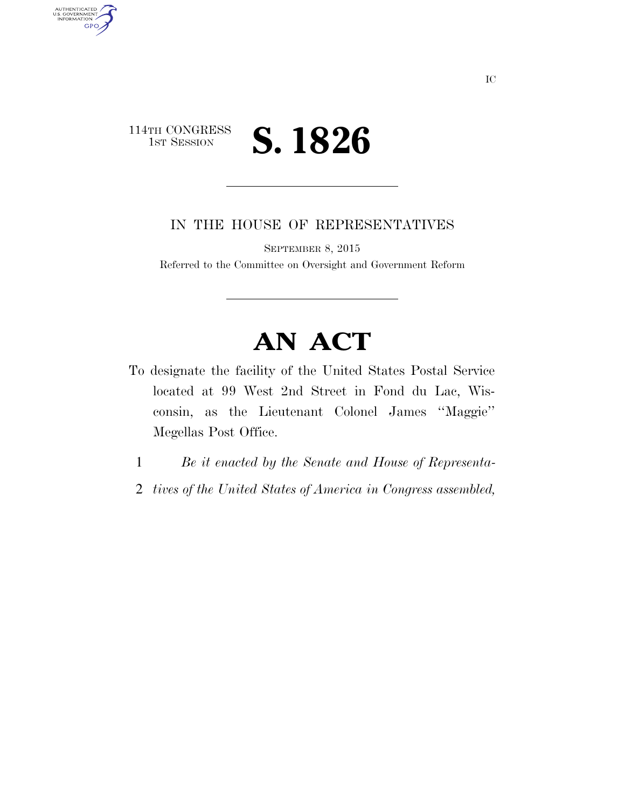## 114TH CONGRESS<br>1st Session 1ST SESSION **S. 1826**

AUTHENTICATED<br>U.S. GOVERNMENT<br>INFORMATION

GPO

IN THE HOUSE OF REPRESENTATIVES

SEPTEMBER 8, 2015

Referred to the Committee on Oversight and Government Reform

## **AN ACT**

- To designate the facility of the United States Postal Service located at 99 West 2nd Street in Fond du Lac, Wisconsin, as the Lieutenant Colonel James ''Maggie'' Megellas Post Office.
	- 1 *Be it enacted by the Senate and House of Representa-*
	- 2 *tives of the United States of America in Congress assembled,*